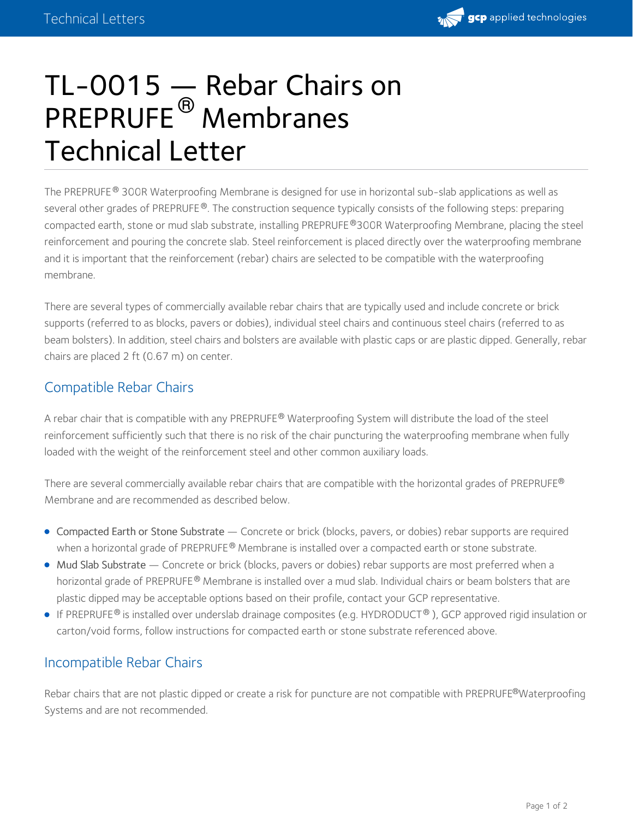

# TL-0015  $-$  Rebar Chairs on PREPRUFE<sup>®</sup> Membranes Technical Letter

The PREPRUFE® 300R Waterproofing Membrane is designed for use in horizontal sub-slab applications as well as several other grades of PREPRUFE®. The construction sequence typically consists of the following steps: preparing compacted earth, stone or mud slab substrate, installing PREPRUFE®300R Waterproofing Membrane, placing the steel reinforcement and pouring the concrete slab. Steel reinforcement is placed directly over the waterproofing membrane and it is important that the reinforcement (rebar) chairs are selected to be compatible with the waterproofing membrane.

There are several types of commercially available rebar chairs that are typically used and include concrete or brick supports (referred to as blocks, pavers or dobies), individual steel chairs and continuous steel chairs (referred to as beam bolsters). In addition, steel chairs and bolsters are available with plastic caps or are plastic dipped. Generally, rebar chairs are placed 2 ft (0.67 m) on center.

## Compatible Rebar Chairs

A rebar chair that is compatible with any PREPRUFE® Waterproofing System will distribute the load of the steel reinforcement sufficiently such that there is no risk of the chair puncturing the waterproofing membrane when fully loaded with the weight of the reinforcement steel and other common auxiliary loads.

There are several commercially available rebar chairs that are compatible with the horizontal grades of <code>PREPRUFE®</code> Membrane and are recommended as described below.

- Compacted Earth or Stone Substrate Concrete or brick (blocks, pavers, or dobies) rebar supports are required when a horizontal grade of PREPRUFE<sup>®</sup> Membrane is installed over a compacted earth or stone substrate.
- Mud Slab Substrate Concrete or brick (blocks, pavers or dobies) rebar supports are most preferred when a horizontal grade of PREPRUFE® Membrane is installed over a mud slab. Individual chairs or beam bolsters that are plastic dipped may be acceptable options based on their profile, contact your GCP representative.
- If PREPRUFE® is installed over underslab drainage composites (e.g. HYDRODUCT® ), GCP approved rigid insulation or carton/void forms, follow instructions for compacted earth or stone substrate referenced above.

## Incompatible Rebar Chairs

Rebar chairs that are not plastic dipped or create a risk for puncture are not compatible with PREPRUFE®Waterproofing Systems and are not recommended.